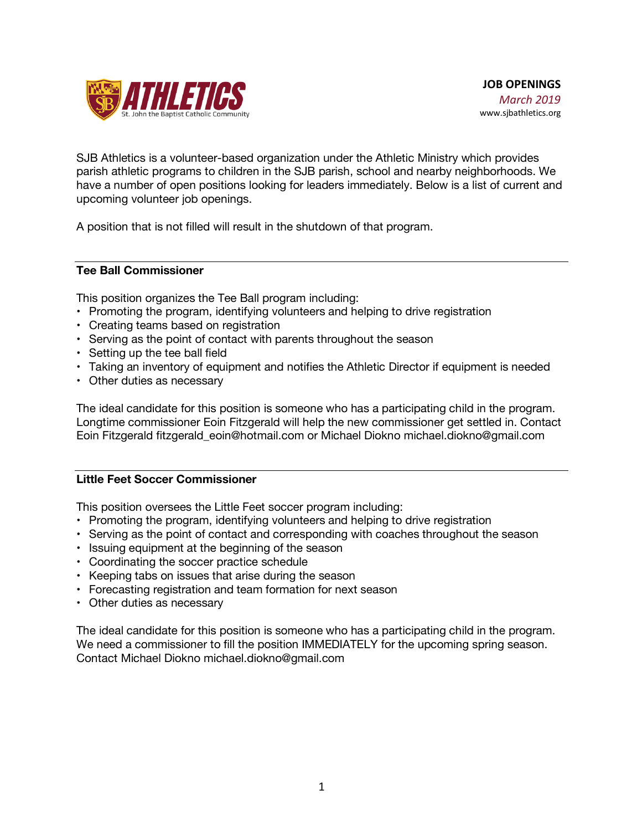

SJB Athletics is a volunteer-based organization under the Athletic Ministry which provides parish athletic programs to children in the SJB parish, school and nearby neighborhoods. We have a number of open positions looking for leaders immediately. Below is a list of current and upcoming volunteer job openings.

A position that is not filled will result in the shutdown of that program.

#### **Tee Ball Commissioner**

This position organizes the Tee Ball program including:

- Promoting the program, identifying volunteers and helping to drive registration
- Creating teams based on registration
- Serving as the point of contact with parents throughout the season
- Setting up the tee ball field
- Taking an inventory of equipment and notifies the Athletic Director if equipment is needed
- Other duties as necessary

The ideal candidate for this position is someone who has a participating child in the program. Longtime commissioner Eoin Fitzgerald will help the new commissioner get settled in. Contact Eoin Fitzgerald fitzgerald\_eoin@hotmail.com or Michael Diokno michael.diokno@gmail.com

#### **Little Feet Soccer Commissioner**

This position oversees the Little Feet soccer program including:

- Promoting the program, identifying volunteers and helping to drive registration
- Serving as the point of contact and corresponding with coaches throughout the season
- Issuing equipment at the beginning of the season
- Coordinating the soccer practice schedule
- Keeping tabs on issues that arise during the season
- Forecasting registration and team formation for next season
- Other duties as necessary

The ideal candidate for this position is someone who has a participating child in the program. We need a commissioner to fill the position IMMEDIATELY for the upcoming spring season. Contact Michael Diokno michael.diokno@gmail.com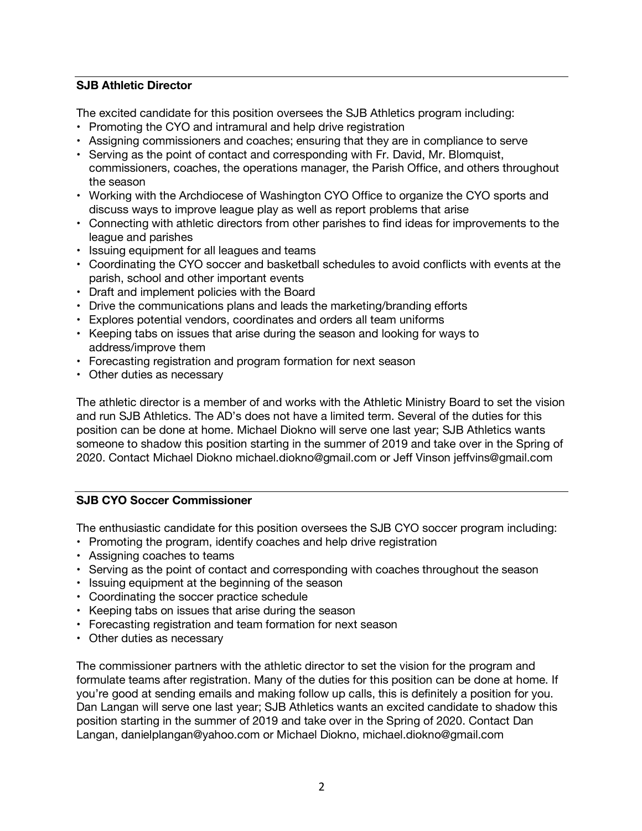## **SJB Athletic Director**

The excited candidate for this position oversees the SJB Athletics program including:

- Promoting the CYO and intramural and help drive registration
- Assigning commissioners and coaches; ensuring that they are in compliance to serve
- Serving as the point of contact and corresponding with Fr. David, Mr. Blomquist, commissioners, coaches, the operations manager, the Parish Office, and others throughout the season
- Working with the Archdiocese of Washington CYO Office to organize the CYO sports and discuss ways to improve league play as well as report problems that arise
- Connecting with athletic directors from other parishes to find ideas for improvements to the league and parishes
- Issuing equipment for all leagues and teams
- Coordinating the CYO soccer and basketball schedules to avoid conflicts with events at the parish, school and other important events
- Draft and implement policies with the Board
- Drive the communications plans and leads the marketing/branding efforts
- Explores potential vendors, coordinates and orders all team uniforms
- Keeping tabs on issues that arise during the season and looking for ways to address/improve them
- Forecasting registration and program formation for next season
- Other duties as necessary

The athletic director is a member of and works with the Athletic Ministry Board to set the vision and run SJB Athletics. The AD's does not have a limited term. Several of the duties for this position can be done at home. Michael Diokno will serve one last year; SJB Athletics wants someone to shadow this position starting in the summer of 2019 and take over in the Spring of 2020. Contact Michael Diokno michael.diokno@gmail.com or Jeff Vinson jeffvins@gmail.com

# **SJB CYO Soccer Commissioner**

The enthusiastic candidate for this position oversees the SJB CYO soccer program including:

- Promoting the program, identify coaches and help drive registration
- Assigning coaches to teams
- Serving as the point of contact and corresponding with coaches throughout the season
- Issuing equipment at the beginning of the season
- Coordinating the soccer practice schedule
- Keeping tabs on issues that arise during the season
- Forecasting registration and team formation for next season
- Other duties as necessary

The commissioner partners with the athletic director to set the vision for the program and formulate teams after registration. Many of the duties for this position can be done at home. If you're good at sending emails and making follow up calls, this is definitely a position for you. Dan Langan will serve one last year; SJB Athletics wants an excited candidate to shadow this position starting in the summer of 2019 and take over in the Spring of 2020. Contact Dan Langan, danielplangan@yahoo.com or Michael Diokno, michael.diokno@gmail.com